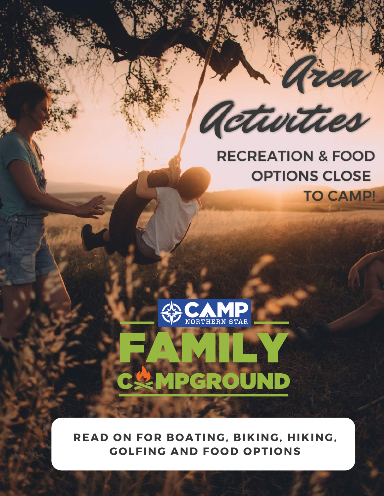

### **RECREATION & FOOD OPTIONS CLOSE TO CAMP!**



MPGROUND

**READ ON FOR BOATING, BIKING, HIKING, GOLFING AND FOOD OPTIONS**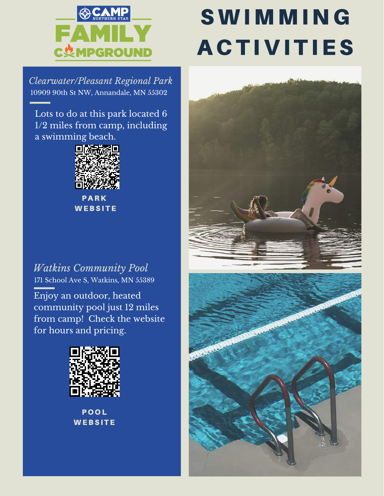

# **SWIMMING ACTIVITIES**

*Clearwater/Pleasant Regional Park* 10909 90th St NW, Annandale, MN 55302

Lots to do at this park located 6 1/2 miles from camp, including a swimming beach.



**PARK WEBSITE** 

#### *Watkins Community Pool* 171 School Ave S, Watkins, MN 55389

Enjoy an outdoor, heated community pool just 12 miles from camp! Check the website for hours and pricing.



**POOL WEBSITE** 



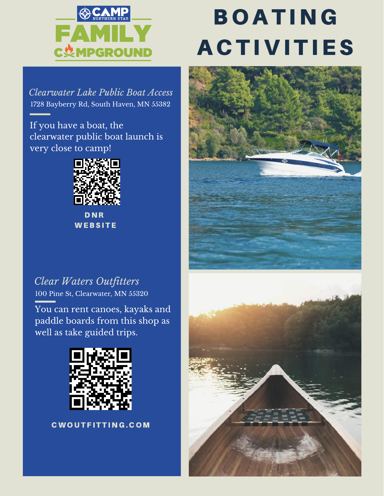

### **BOATING ACTIVITIES**

*Clearwater Lake Public Boat Access* 1728 Bayberry Rd, South Haven, MN 55382

If you have a boat, the clearwater public boat launch is very close to camp!



D N R **WEBSITE** 

#### *Clear Waters Outfitters* 100 Pine St, Clearwater, MN 55320

You can rent canoes, kayaks and paddle boards from this shop as well as take guided trips.



CWOUTFITTING.COM

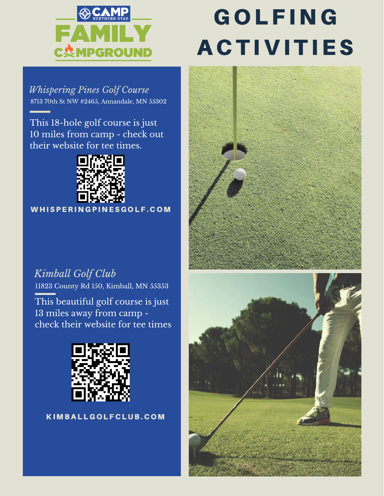

## **GOLFING ACTIVITIES**

*Whispering Pines Golf Course* 8713 70th St NW #2465, Annandale, MN 55302

This 18-hole golf course is just 10 miles from camp - check out their website for tee times.



WH I SPERING PINES GOLF. COM

### *Kimball Golf Club*

11823 County Rd 150, Kimball, MN 55353

This beautiful golf course is just 13 miles away from camp check their website for tee times



K I M B A L L G O L F C L U B. C O M



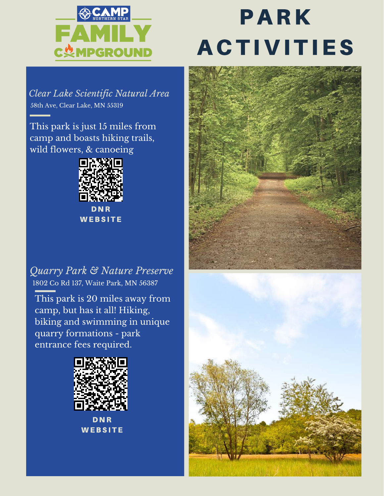

## **PARK ACTIVITIES**

*Clear Lake Scientific Natural Area* 58th Ave, Clear Lake, MN 55319

This park is just 15 miles from camp and boasts hiking trails, wild flowers, & canoeing



**WEBSITE** 

*Quarry Park & Nature Preserve* 1802 Co Rd 137, Waite Park, MN 56387

This park is 20 miles away from camp, but has it all! Hiking, biking and swimming in unique quarry formations - park entrance fees required.



**DNR WEBSITE**